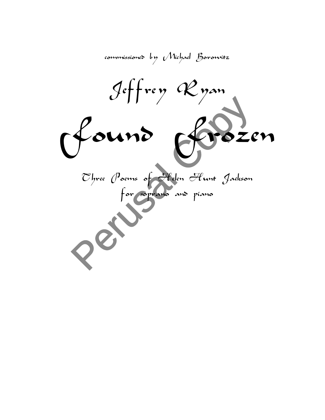Chand Court Jackson commissioned by Michael Borowitz Jeffrey Ryan Found Frozen Three Poems of Helen Hunt Jackson for soprano and piano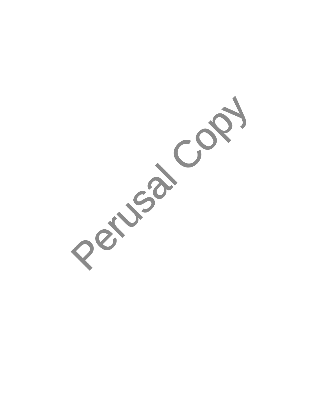Perbacher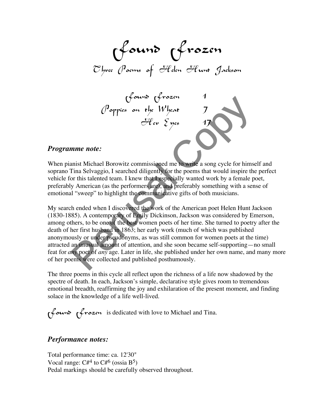Found Frozen Three Poems of Helen Hunt Jackson

Found Frozen 1 Poppies on the Wheat Her Eyes 17

## *Programme note:*

When pianist Michael Borowitz commissioned me to write a song cycle for himself and soprano Tina Selvaggio, I searched diligently for the poems that would inspire the perfect vehicle for this talented team. I knew that I especially wanted work by a female poet, preferably American (as the performers are), and preferably something with a sense of emotional "sweep" to highlight the communicative gifts of both musicians.

(Poppies on the Wheat<br>  $\mathcal{C}$  resement of the UP and the UP and the UP and the UP and the UP and the UP and the UP and the UP and the UP and the UP and the UP and the UP and the UP and the UP and the UP and the UP and t My search ended when I discovered the work of the American poet Helen Hunt Jackson (1830-1885). A contemporary of Emily Dickinson, Jackson was considered by Emerson, among others, to be one of the best women poets of her time. She turned to poetry after the death of her first husband in 1863; her early work (much of which was published anonymously or under pseudonyms, as was still common for women poets at the time) attracted an unusual amount of attention, and she soon became self-supporting—no small feat for *any* poet of *any* age. Later in life, she published under her own name, and many more of her poems were collected and published posthumously.

The three poems in this cycle all reflect upon the richness of a life now shadowed by the spectre of death. In each, Jackson's simple, declarative style gives room to tremendous emotional breadth, reaffirming the joy and exhilaration of the present moment, and finding solace in the knowledge of a life well-lived.

 $\int$ ound  $\int$ rozen is dedicated with love to Michael and Tina.

## *Performance notes:*

Total performance time: ca. 12'30" Vocal range:  $C#^4$  to  $C#^6$  (ossia  $B^5$ ) Pedal markings should be carefully observed throughout.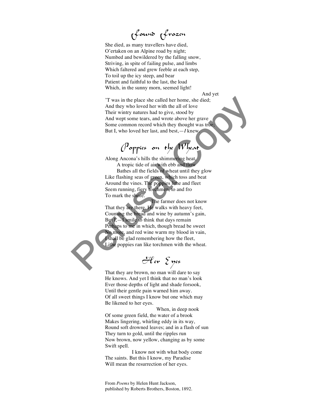Found Frozen

She died, as many travellers have died, O'ertaken on an Alpine road by night; Numbed and bewildered by the falling snow, Striving, in spite of failing pulse, and limbs Which faltered and grew feeble at each step, To toil up the icy steep, and bear Patient and faithful to the last, the load Which, in the sunny morn, seemed light!

And yet

'T was in the place she called her home, she died; And they who loved her with the all of love Their wintry natures had to give, stood by And wept some tears, and wrote above her grave Some common record which they thought was true; But I, who loved her last, and best,—*I* knew.

Poppies on the Wheat

Along Ancona's hills the shimmering heat, A tropic tide of air with ebb and flow

Bathes all the fields of wheat until they glow Like flashing seas of green, which toss and beat Around the vines. The poppies lithe and fleet Seem running, fiery torchmen, to and fro To mark the shore.

T was in the place she called her home, she died;<br>And they who loved her with the all of love<br>Their wintry natures had to give, stood by<br>And wept some cars, and wrote above her grave<br>Some common record which they thought The farmer does not know That they are there. He walks with heavy feet, Counting the bread and wine by autumn's gain, But I,—I smile to think that days remain Perhaps to me in which, though bread be sweet No more, and red wine warm my blood in vain, I shall be glad remembering how the fleet, Lithe poppies ran like torchmen with the wheat.



Her Eyes

That they are brown, no man will dare to say He knows. And yet I think that no man's look Ever those depths of light and shade forsook, Until their gentle pain warned him away. Of all sweet things I know but one which may Be likened to her eyes.

When, in deep nook Of some green field, the water of a brook Makes lingering, whirling eddy in its way, Round soft drowned leaves; and in a flash of sun They turn to gold, until the ripples run Now brown, now yellow, changing as by some Swift spell.

I know not with what body come The saints. But this I know, my Paradise Will mean the resurrection of her eyes.

From *Poems* by Helen Hunt Jackson, published by Roberts Brothers, Boston, 1892.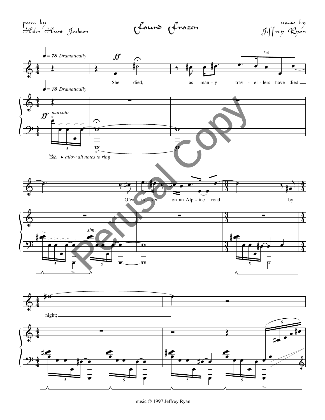

music © 1997 Jeffrey Ryan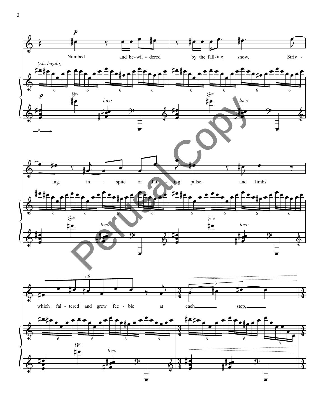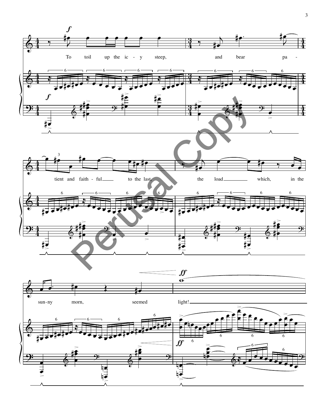

 $\overline{3}$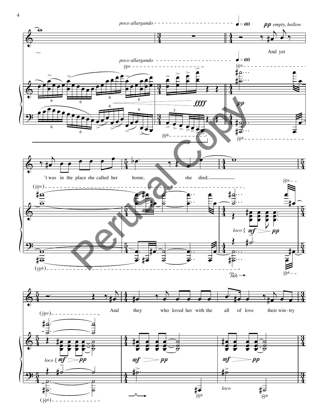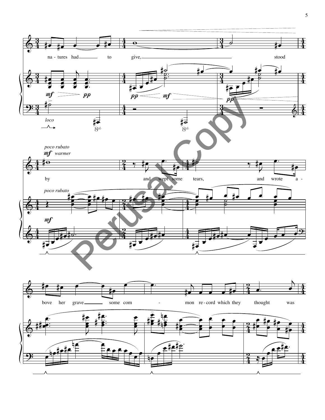

 $\mathfrak{S}$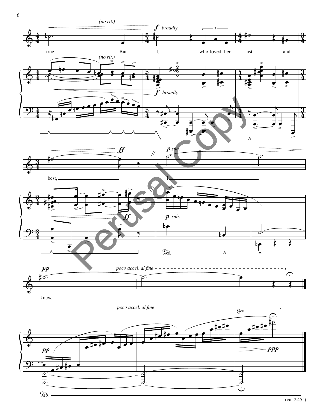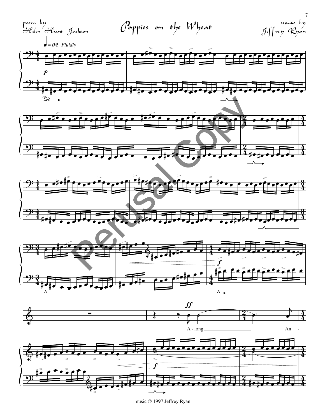poem by musíc by Poppies on the Wheat Helen Hunt Jackson  $J$ effrey











music © 1997 Jeffrey Ryan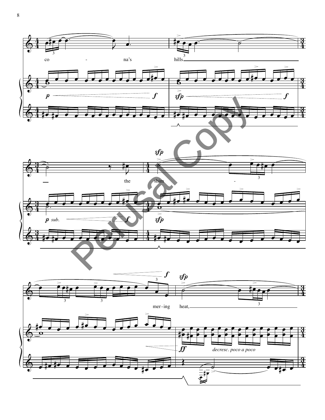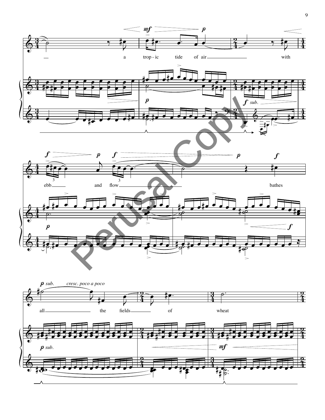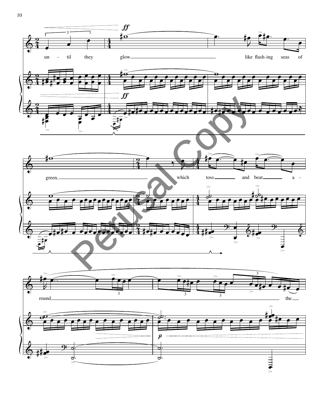

 $10\,$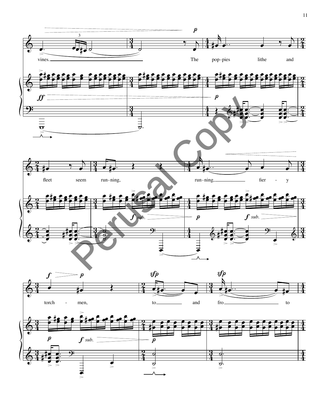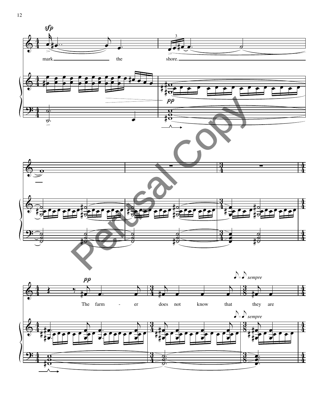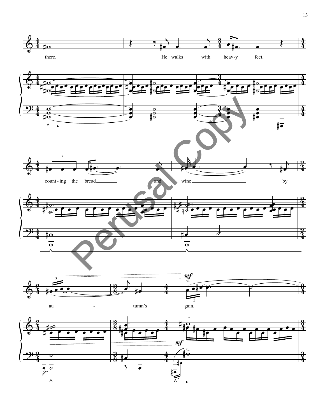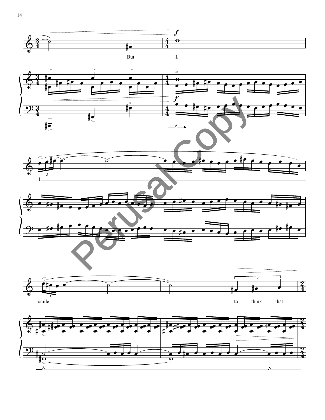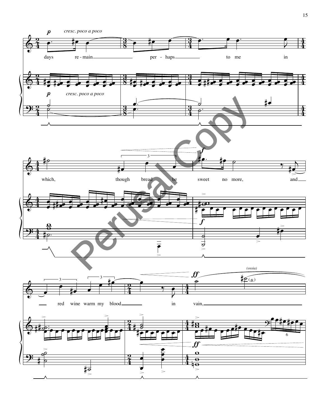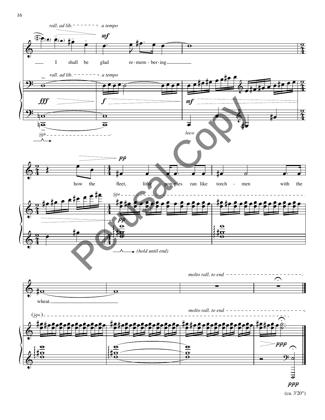

 $ppp$  $(ca.3'20")$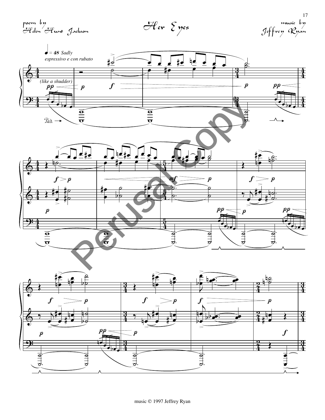poem by Helen Hunt Jackson

17 Her Eyes music by music by

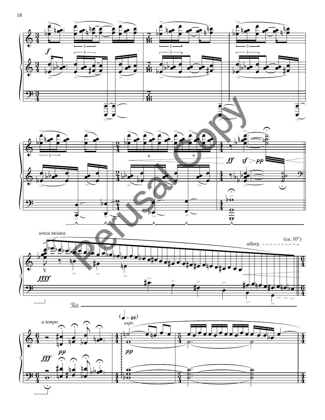





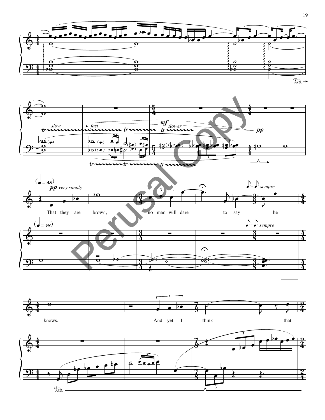





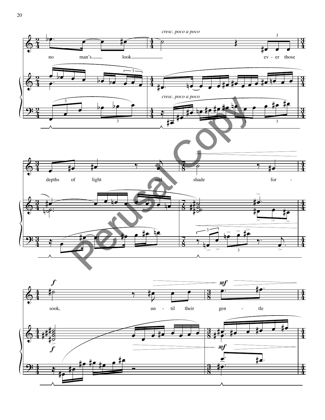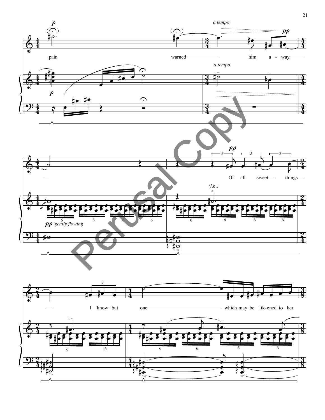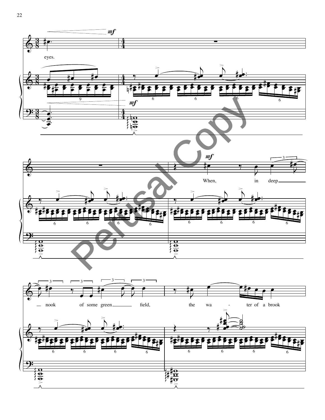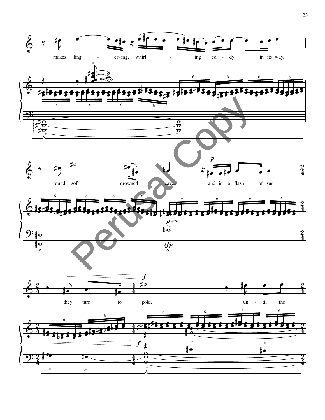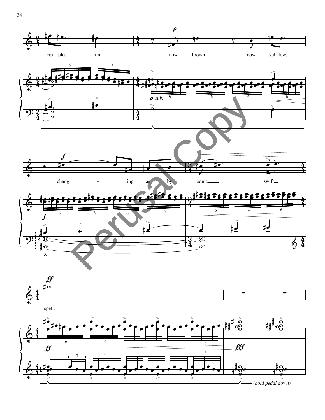